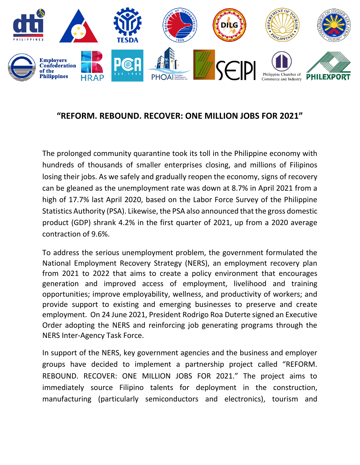

# **"REFORM. REBOUND. RECOVER: ONE MILLION JOBS FOR 2021"**

The prolonged community quarantine took its toll in the Philippine economy with hundreds of thousands of smaller enterprises closing, and millions of Filipinos losing their jobs. As we safely and gradually reopen the economy, signs of recovery can be gleaned as the unemployment rate was down at 8.7% in April 2021 from a high of 17.7% last April 2020, based on the Labor Force Survey of the Philippine Statistics Authority (PSA). Likewise, the PSA also announced that the gross domestic product (GDP) shrank 4.2% in the first quarter of 2021, up from a 2020 average contraction of 9.6%.

To address the serious unemployment problem, the government formulated the National Employment Recovery Strategy (NERS), an employment recovery plan from 2021 to 2022 that aims to create a policy environment that encourages generation and improved access of employment, livelihood and training opportunities; improve employability, wellness, and productivity of workers; and provide support to existing and emerging businesses to preserve and create employment. On 24 June 2021, President Rodrigo Roa Duterte signed an Executive Order adopting the NERS and reinforcing job generating programs through the NERS Inter-Agency Task Force.

In support of the NERS, key government agencies and the business and employer groups have decided to implement a partnership project called "REFORM. REBOUND. RECOVER: ONE MILLION JOBS FOR 2021." The project aims to immediately source Filipino talents for deployment in the construction, manufacturing (particularly semiconductors and electronics), tourism and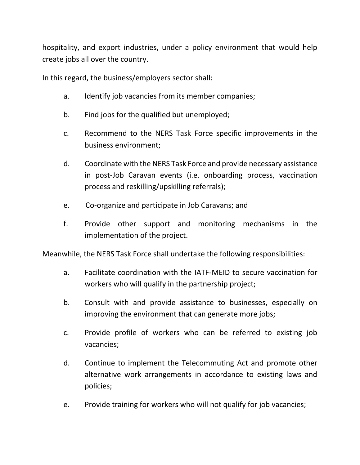hospitality, and export industries, under a policy environment that would help create jobs all over the country.

In this regard, the business/employers sector shall:

- a. Identify job vacancies from its member companies;
- b. Find jobs for the qualified but unemployed;
- c. Recommend to the NERS Task Force specific improvements in the business environment;
- d. Coordinate with the NERS Task Force and provide necessary assistance in post-Job Caravan events (i.e. onboarding process, vaccination process and reskilling/upskilling referrals);
- e. Co-organize and participate in Job Caravans; and
- f. Provide other support and monitoring mechanisms in the implementation of the project.

Meanwhile, the NERS Task Force shall undertake the following responsibilities:

- a. Facilitate coordination with the IATF-MEID to secure vaccination for workers who will qualify in the partnership project;
- b. Consult with and provide assistance to businesses, especially on improving the environment that can generate more jobs;
- c. Provide profile of workers who can be referred to existing job vacancies;
- d. Continue to implement the Telecommuting Act and promote other alternative work arrangements in accordance to existing laws and policies;
- e. Provide training for workers who will not qualify for job vacancies;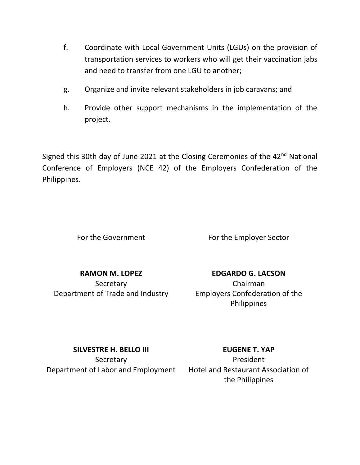- f. Coordinate with Local Government Units (LGUs) on the provision of transportation services to workers who will get their vaccination jabs and need to transfer from one LGU to another;
- g. Organize and invite relevant stakeholders in job caravans; and
- h. Provide other support mechanisms in the implementation of the project.

Signed this 30th day of June 2021 at the Closing Ceremonies of the  $42<sup>nd</sup>$  National Conference of Employers (NCE 42) of the Employers Confederation of the Philippines.

For the Government For the Employer Sector

**RAMON M. LOPEZ Secretary** Department of Trade and Industry

**EDGARDO G. LACSON** Chairman Employers Confederation of the **Philippines** 

**SILVESTRE H. BELLO III**

**Secretary** Department of Labor and Employment Hotel and Restaurant Association of

## **EUGENE T. YAP**

President the Philippines